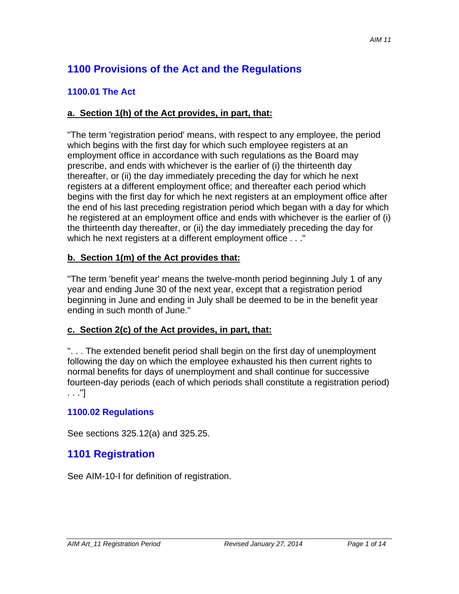# **1100 Provisions of the Act and the Regulations**

#### **1100.01 The Act**

#### **a. Section 1(h) of the Act provides, in part, that:**

"The term 'registration period' means, with respect to any employee, the period which begins with the first day for which such employee registers at an employment office in accordance with such regulations as the Board may prescribe, and ends with whichever is the earlier of (i) the thirteenth day thereafter, or (ii) the day immediately preceding the day for which he next registers at a different employment office; and thereafter each period which begins with the first day for which he next registers at an employment office after the end of his last preceding registration period which began with a day for which he registered at an employment office and ends with whichever is the earlier of (i) the thirteenth day thereafter, or (ii) the day immediately preceding the day for which he next registers at a different employment office . . ."

#### **b. Section 1(m) of the Act provides that:**

"The term 'benefit year' means the twelve-month period beginning July 1 of any year and ending June 30 of the next year, except that a registration period beginning in June and ending in July shall be deemed to be in the benefit year ending in such month of June."

#### **c. Section 2(c) of the Act provides, in part, that:**

". . . The extended benefit period shall begin on the first day of unemployment following the day on which the employee exhausted his then current rights to normal benefits for days of unemployment and shall continue for successive fourteen-day periods (each of which periods shall constitute a registration period) . . ."]

#### **1100.02 Regulations**

See sections 325.12(a) and 325.25.

## **1101 Registration**

See AIM-10-I for definition of registration.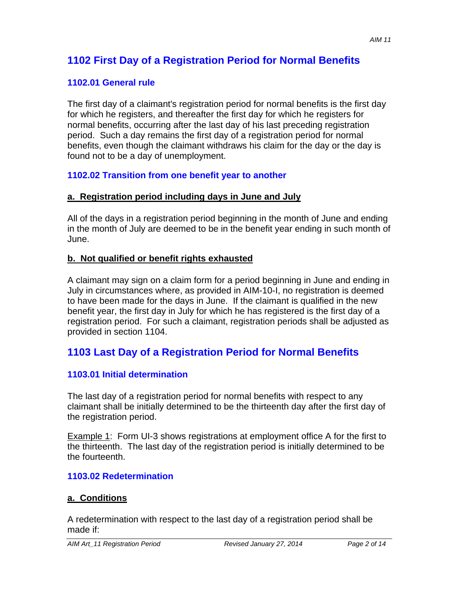## **1102 First Day of a Registration Period for Normal Benefits**

#### **1102.01 General rule**

The first day of a claimant's registration period for normal benefits is the first day for which he registers, and thereafter the first day for which he registers for normal benefits, occurring after the last day of his last preceding registration period. Such a day remains the first day of a registration period for normal benefits, even though the claimant withdraws his claim for the day or the day is found not to be a day of unemployment.

#### **1102.02 Transition from one benefit year to another**

#### **a. Registration period including days in June and July**

All of the days in a registration period beginning in the month of June and ending in the month of July are deemed to be in the benefit year ending in such month of June.

#### **b. Not qualified or benefit rights exhausted**

A claimant may sign on a claim form for a period beginning in June and ending in July in circumstances where, as provided in AIM-10-I, no registration is deemed to have been made for the days in June. If the claimant is qualified in the new benefit year, the first day in July for which he has registered is the first day of a registration period. For such a claimant, registration periods shall be adjusted as provided in section 1104.

## **1103 Last Day of a Registration Period for Normal Benefits**

## **1103.01 Initial determination**

The last day of a registration period for normal benefits with respect to any claimant shall be initially determined to be the thirteenth day after the first day of the registration period.

**Example 1:** Form UI-3 shows registrations at employment office A for the first to the thirteenth. The last day of the registration period is initially determined to be the fourteenth.

## **1103.02 Redetermination**

## **a. Conditions**

A redetermination with respect to the last day of a registration period shall be made if: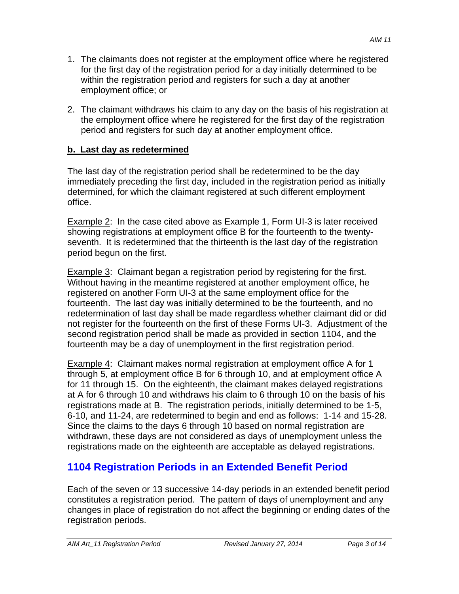- 1. The claimants does not register at the employment office where he registered for the first day of the registration period for a day initially determined to be within the registration period and registers for such a day at another employment office; or
- 2. The claimant withdraws his claim to any day on the basis of his registration at the employment office where he registered for the first day of the registration period and registers for such day at another employment office.

#### **b. Last day as redetermined**

The last day of the registration period shall be redetermined to be the day immediately preceding the first day, included in the registration period as initially determined, for which the claimant registered at such different employment office.

**Example 2:** In the case cited above as Example 1, Form UI-3 is later received showing registrations at employment office B for the fourteenth to the twentyseventh. It is redetermined that the thirteenth is the last day of the registration period begun on the first.

**Example 3:** Claimant began a registration period by registering for the first. Without having in the meantime registered at another employment office, he registered on another Form UI-3 at the same employment office for the fourteenth. The last day was initially determined to be the fourteenth, and no redetermination of last day shall be made regardless whether claimant did or did not register for the fourteenth on the first of these Forms UI-3. Adjustment of the second registration period shall be made as provided in section 1104, and the fourteenth may be a day of unemployment in the first registration period.

Example 4: Claimant makes normal registration at employment office A for 1 through 5, at employment office B for 6 through 10, and at employment office A for 11 through 15. On the eighteenth, the claimant makes delayed registrations at A for 6 through 10 and withdraws his claim to 6 through 10 on the basis of his registrations made at B. The registration periods, initially determined to be 1-5, 6-10, and 11-24, are redetermined to begin and end as follows: 1-14 and 15-28. Since the claims to the days 6 through 10 based on normal registration are withdrawn, these days are not considered as days of unemployment unless the registrations made on the eighteenth are acceptable as delayed registrations.

## **1104 Registration Periods in an Extended Benefit Period**

Each of the seven or 13 successive 14-day periods in an extended benefit period constitutes a registration period. The pattern of days of unemployment and any changes in place of registration do not affect the beginning or ending dates of the registration periods.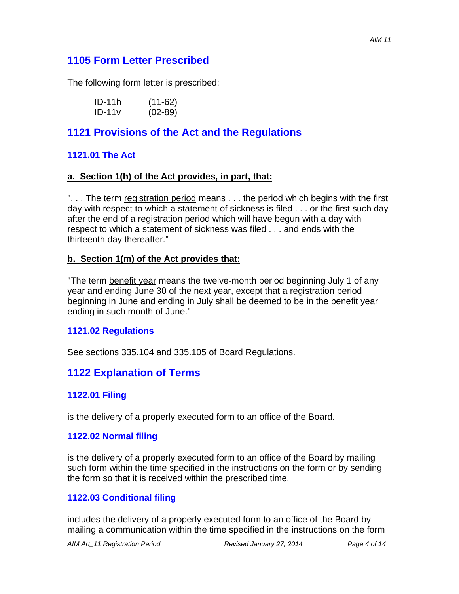## **1105 Form Letter Prescribed**

The following form letter is prescribed:

| ID-11h | $(11-62)$ |
|--------|-----------|
| ID-11v | $(02-89)$ |

## **1121 Provisions of the Act and the Regulations**

#### **1121.01 The Act**

#### **a. Section 1(h) of the Act provides, in part, that:**

". . . The term registration period means . . . the period which begins with the first day with respect to which a statement of sickness is filed . . . or the first such day after the end of a registration period which will have begun with a day with respect to which a statement of sickness was filed . . . and ends with the thirteenth day thereafter."

#### **b. Section 1(m) of the Act provides that:**

"The term benefit year means the twelve-month period beginning July 1 of any year and ending June 30 of the next year, except that a registration period beginning in June and ending in July shall be deemed to be in the benefit year ending in such month of June."

#### **1121.02 Regulations**

See sections 335.104 and 335.105 of Board Regulations.

## **1122 Explanation of Terms**

#### **1122.01 Filing**

is the delivery of a properly executed form to an office of the Board.

#### **1122.02 Normal filing**

is the delivery of a properly executed form to an office of the Board by mailing such form within the time specified in the instructions on the form or by sending the form so that it is received within the prescribed time.

#### **1122.03 Conditional filing**

includes the delivery of a properly executed form to an office of the Board by mailing a communication within the time specified in the instructions on the form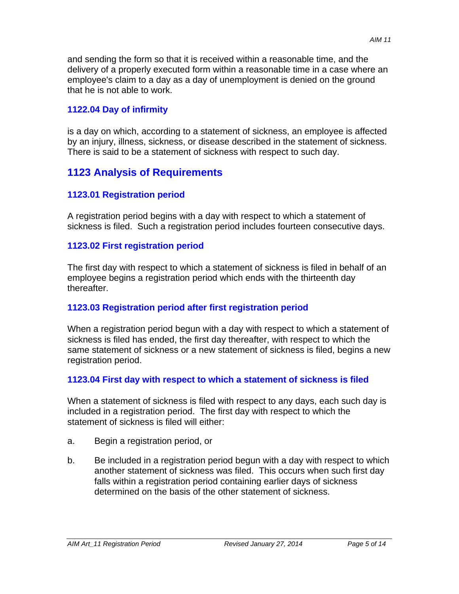and sending the form so that it is received within a reasonable time, and the delivery of a properly executed form within a reasonable time in a case where an employee's claim to a day as a day of unemployment is denied on the ground that he is not able to work.

#### **1122.04 Day of infirmity**

is a day on which, according to a statement of sickness, an employee is affected by an injury, illness, sickness, or disease described in the statement of sickness. There is said to be a statement of sickness with respect to such day.

## **1123 Analysis of Requirements**

## **1123.01 Registration period**

A registration period begins with a day with respect to which a statement of sickness is filed. Such a registration period includes fourteen consecutive days.

#### **1123.02 First registration period**

The first day with respect to which a statement of sickness is filed in behalf of an employee begins a registration period which ends with the thirteenth day thereafter.

## **1123.03 Registration period after first registration period**

When a registration period begun with a day with respect to which a statement of sickness is filed has ended, the first day thereafter, with respect to which the same statement of sickness or a new statement of sickness is filed, begins a new registration period.

#### **1123.04 First day with respect to which a statement of sickness is filed**

When a statement of sickness is filed with respect to any days, each such day is included in a registration period. The first day with respect to which the statement of sickness is filed will either:

- a. Begin a registration period, or
- b. Be included in a registration period begun with a day with respect to which another statement of sickness was filed. This occurs when such first day falls within a registration period containing earlier days of sickness determined on the basis of the other statement of sickness.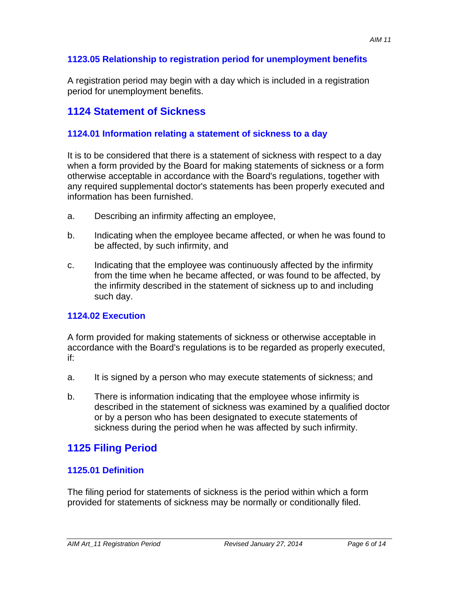#### **1123.05 Relationship to registration period for unemployment benefits**

A registration period may begin with a day which is included in a registration period for unemployment benefits.

## **1124 Statement of Sickness**

#### **1124.01 Information relating a statement of sickness to a day**

It is to be considered that there is a statement of sickness with respect to a day when a form provided by the Board for making statements of sickness or a form otherwise acceptable in accordance with the Board's regulations, together with any required supplemental doctor's statements has been properly executed and information has been furnished.

- a. Describing an infirmity affecting an employee,
- b. Indicating when the employee became affected, or when he was found to be affected, by such infirmity, and
- c. Indicating that the employee was continuously affected by the infirmity from the time when he became affected, or was found to be affected, by the infirmity described in the statement of sickness up to and including such day.

#### **1124.02 Execution**

A form provided for making statements of sickness or otherwise acceptable in accordance with the Board's regulations is to be regarded as properly executed, if:

- a. It is signed by a person who may execute statements of sickness; and
- b. There is information indicating that the employee whose infirmity is described in the statement of sickness was examined by a qualified doctor or by a person who has been designated to execute statements of sickness during the period when he was affected by such infirmity.

## **1125 Filing Period**

#### **1125.01 Definition**

The filing period for statements of sickness is the period within which a form provided for statements of sickness may be normally or conditionally filed.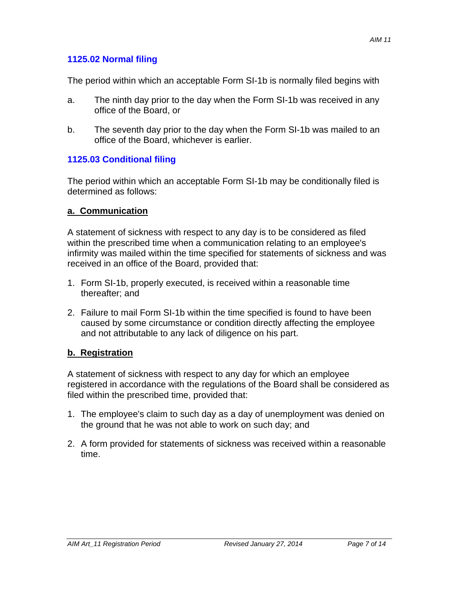#### **1125.02 Normal filing**

The period within which an acceptable Form SI-1b is normally filed begins with

- a. The ninth day prior to the day when the Form SI-1b was received in any office of the Board, or
- b. The seventh day prior to the day when the Form SI-1b was mailed to an office of the Board, whichever is earlier.

#### **1125.03 Conditional filing**

The period within which an acceptable Form SI-1b may be conditionally filed is determined as follows:

#### **a. Communication**

A statement of sickness with respect to any day is to be considered as filed within the prescribed time when a communication relating to an employee's infirmity was mailed within the time specified for statements of sickness and was received in an office of the Board, provided that:

- 1. Form SI-1b, properly executed, is received within a reasonable time thereafter; and
- 2. Failure to mail Form SI-1b within the time specified is found to have been caused by some circumstance or condition directly affecting the employee and not attributable to any lack of diligence on his part.

#### **b. Registration**

A statement of sickness with respect to any day for which an employee registered in accordance with the regulations of the Board shall be considered as filed within the prescribed time, provided that:

- 1. The employee's claim to such day as a day of unemployment was denied on the ground that he was not able to work on such day; and
- 2. A form provided for statements of sickness was received within a reasonable time.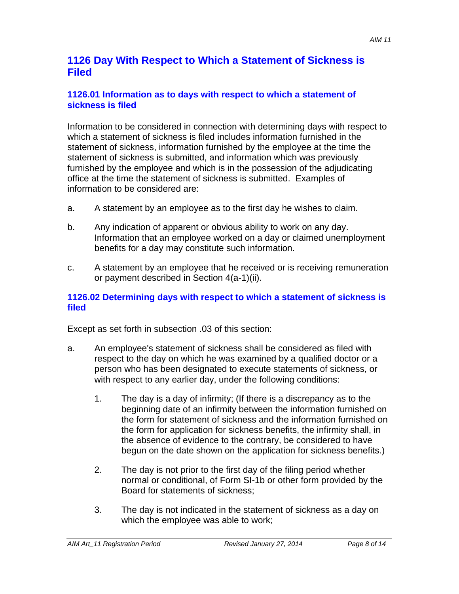## **1126 Day With Respect to Which a Statement of Sickness is Filed**

#### **1126.01 Information as to days with respect to which a statement of sickness is filed**

Information to be considered in connection with determining days with respect to which a statement of sickness is filed includes information furnished in the statement of sickness, information furnished by the employee at the time the statement of sickness is submitted, and information which was previously furnished by the employee and which is in the possession of the adjudicating office at the time the statement of sickness is submitted. Examples of information to be considered are:

- a. A statement by an employee as to the first day he wishes to claim.
- b. Any indication of apparent or obvious ability to work on any day. Information that an employee worked on a day or claimed unemployment benefits for a day may constitute such information.
- c. A statement by an employee that he received or is receiving remuneration or payment described in Section 4(a-1)(ii).

#### **1126.02 Determining days with respect to which a statement of sickness is filed**

Except as set forth in subsection .03 of this section:

- a. An employee's statement of sickness shall be considered as filed with respect to the day on which he was examined by a qualified doctor or a person who has been designated to execute statements of sickness, or with respect to any earlier day, under the following conditions:
	- 1. The day is a day of infirmity; (If there is a discrepancy as to the beginning date of an infirmity between the information furnished on the form for statement of sickness and the information furnished on the form for application for sickness benefits, the infirmity shall, in the absence of evidence to the contrary, be considered to have begun on the date shown on the application for sickness benefits.)
	- 2. The day is not prior to the first day of the filing period whether normal or conditional, of Form SI-1b or other form provided by the Board for statements of sickness;
	- 3. The day is not indicated in the statement of sickness as a day on which the employee was able to work;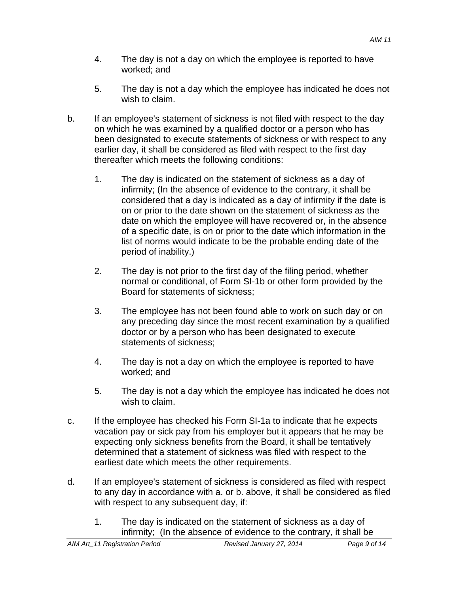- 4. The day is not a day on which the employee is reported to have worked; and
- 5. The day is not a day which the employee has indicated he does not wish to claim.
- b. If an employee's statement of sickness is not filed with respect to the day on which he was examined by a qualified doctor or a person who has been designated to execute statements of sickness or with respect to any earlier day, it shall be considered as filed with respect to the first day thereafter which meets the following conditions:
	- 1. The day is indicated on the statement of sickness as a day of infirmity; (In the absence of evidence to the contrary, it shall be considered that a day is indicated as a day of infirmity if the date is on or prior to the date shown on the statement of sickness as the date on which the employee will have recovered or, in the absence of a specific date, is on or prior to the date which information in the list of norms would indicate to be the probable ending date of the period of inability.)
	- 2. The day is not prior to the first day of the filing period, whether normal or conditional, of Form SI-1b or other form provided by the Board for statements of sickness;
	- 3. The employee has not been found able to work on such day or on any preceding day since the most recent examination by a qualified doctor or by a person who has been designated to execute statements of sickness;
	- 4. The day is not a day on which the employee is reported to have worked; and
	- 5. The day is not a day which the employee has indicated he does not wish to claim.
- c. If the employee has checked his Form SI-1a to indicate that he expects vacation pay or sick pay from his employer but it appears that he may be expecting only sickness benefits from the Board, it shall be tentatively determined that a statement of sickness was filed with respect to the earliest date which meets the other requirements.
- d. If an employee's statement of sickness is considered as filed with respect to any day in accordance with a. or b. above, it shall be considered as filed with respect to any subsequent day, if:
	- 1. The day is indicated on the statement of sickness as a day of infirmity; (In the absence of evidence to the contrary, it shall be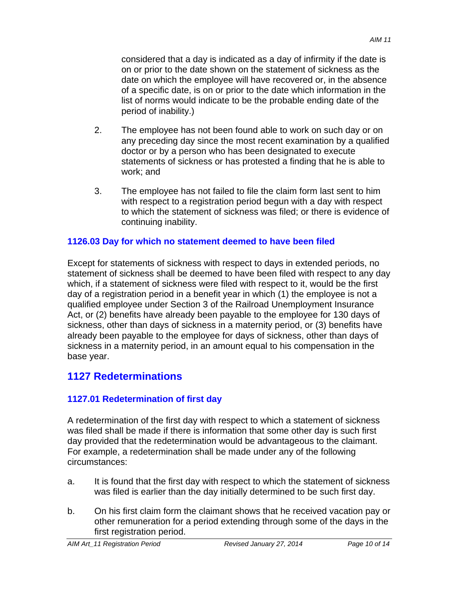considered that a day is indicated as a day of infirmity if the date is on or prior to the date shown on the statement of sickness as the date on which the employee will have recovered or, in the absence of a specific date, is on or prior to the date which information in the list of norms would indicate to be the probable ending date of the period of inability.)

- 2. The employee has not been found able to work on such day or on any preceding day since the most recent examination by a qualified doctor or by a person who has been designated to execute statements of sickness or has protested a finding that he is able to work; and
- 3. The employee has not failed to file the claim form last sent to him with respect to a registration period begun with a day with respect to which the statement of sickness was filed; or there is evidence of continuing inability.

## **1126.03 Day for which no statement deemed to have been filed**

Except for statements of sickness with respect to days in extended periods, no statement of sickness shall be deemed to have been filed with respect to any day which, if a statement of sickness were filed with respect to it, would be the first day of a registration period in a benefit year in which (1) the employee is not a qualified employee under Section 3 of the Railroad Unemployment Insurance Act, or (2) benefits have already been payable to the employee for 130 days of sickness, other than days of sickness in a maternity period, or (3) benefits have already been payable to the employee for days of sickness, other than days of sickness in a maternity period, in an amount equal to his compensation in the base year.

# **1127 Redeterminations**

## **1127.01 Redetermination of first day**

A redetermination of the first day with respect to which a statement of sickness was filed shall be made if there is information that some other day is such first day provided that the redetermination would be advantageous to the claimant. For example, a redetermination shall be made under any of the following circumstances:

- a. It is found that the first day with respect to which the statement of sickness was filed is earlier than the day initially determined to be such first day.
- b. On his first claim form the claimant shows that he received vacation pay or other remuneration for a period extending through some of the days in the first registration period.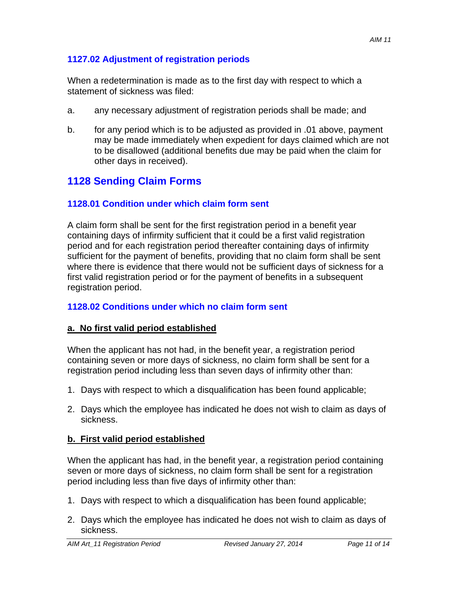## **1127.02 Adjustment of registration periods**

When a redetermination is made as to the first day with respect to which a statement of sickness was filed:

- a. any necessary adjustment of registration periods shall be made; and
- b. for any period which is to be adjusted as provided in .01 above, payment may be made immediately when expedient for days claimed which are not to be disallowed (additional benefits due may be paid when the claim for other days in received).

# **1128 Sending Claim Forms**

## **1128.01 Condition under which claim form sent**

A claim form shall be sent for the first registration period in a benefit year containing days of infirmity sufficient that it could be a first valid registration period and for each registration period thereafter containing days of infirmity sufficient for the payment of benefits, providing that no claim form shall be sent where there is evidence that there would not be sufficient days of sickness for a first valid registration period or for the payment of benefits in a subsequent registration period.

## **1128.02 Conditions under which no claim form sent**

## **a. No first valid period established**

When the applicant has not had, in the benefit year, a registration period containing seven or more days of sickness, no claim form shall be sent for a registration period including less than seven days of infirmity other than:

- 1. Days with respect to which a disqualification has been found applicable;
- 2. Days which the employee has indicated he does not wish to claim as days of sickness.

## **b. First valid period established**

When the applicant has had, in the benefit year, a registration period containing seven or more days of sickness, no claim form shall be sent for a registration period including less than five days of infirmity other than:

- 1. Days with respect to which a disqualification has been found applicable;
- 2. Days which the employee has indicated he does not wish to claim as days of sickness.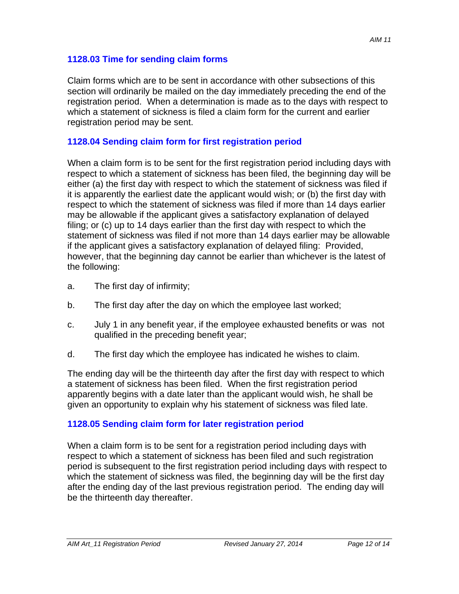#### **1128.03 Time for sending claim forms**

Claim forms which are to be sent in accordance with other subsections of this section will ordinarily be mailed on the day immediately preceding the end of the registration period. When a determination is made as to the days with respect to which a statement of sickness is filed a claim form for the current and earlier registration period may be sent.

#### **1128.04 Sending claim form for first registration period**

When a claim form is to be sent for the first registration period including days with respect to which a statement of sickness has been filed, the beginning day will be either (a) the first day with respect to which the statement of sickness was filed if it is apparently the earliest date the applicant would wish; or (b) the first day with respect to which the statement of sickness was filed if more than 14 days earlier may be allowable if the applicant gives a satisfactory explanation of delayed filing; or (c) up to 14 days earlier than the first day with respect to which the statement of sickness was filed if not more than 14 days earlier may be allowable if the applicant gives a satisfactory explanation of delayed filing: Provided, however, that the beginning day cannot be earlier than whichever is the latest of the following:

- a. The first day of infirmity;
- b. The first day after the day on which the employee last worked;
- c. July 1 in any benefit year, if the employee exhausted benefits or was not qualified in the preceding benefit year;
- d. The first day which the employee has indicated he wishes to claim.

The ending day will be the thirteenth day after the first day with respect to which a statement of sickness has been filed. When the first registration period apparently begins with a date later than the applicant would wish, he shall be given an opportunity to explain why his statement of sickness was filed late.

#### **1128.05 Sending claim form for later registration period**

When a claim form is to be sent for a registration period including days with respect to which a statement of sickness has been filed and such registration period is subsequent to the first registration period including days with respect to which the statement of sickness was filed, the beginning day will be the first day after the ending day of the last previous registration period. The ending day will be the thirteenth day thereafter.